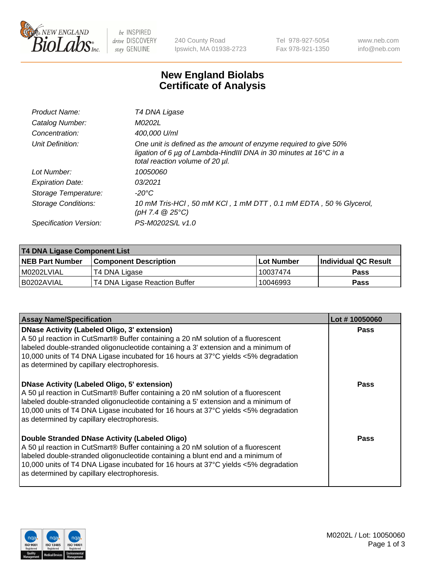

be INSPIRED drive DISCOVERY stay GENUINE

240 County Road Ipswich, MA 01938-2723 Tel 978-927-5054 Fax 978-921-1350 www.neb.com info@neb.com

## **New England Biolabs Certificate of Analysis**

| Product Name:           | T4 DNA Ligase                                                                                                                                                            |
|-------------------------|--------------------------------------------------------------------------------------------------------------------------------------------------------------------------|
| Catalog Number:         | M0202L                                                                                                                                                                   |
| Concentration:          | 400,000 U/ml                                                                                                                                                             |
| Unit Definition:        | One unit is defined as the amount of enzyme required to give 50%<br>ligation of 6 µg of Lambda-HindIII DNA in 30 minutes at 16°C in a<br>total reaction volume of 20 µl. |
| Lot Number:             | <i>10050060</i>                                                                                                                                                          |
| <b>Expiration Date:</b> | 03/2021                                                                                                                                                                  |
| Storage Temperature:    | $-20^{\circ}$ C                                                                                                                                                          |
| Storage Conditions:     | 10 mM Tris-HCl, 50 mM KCl, 1 mM DTT, 0.1 mM EDTA, 50 % Glycerol,<br>(pH 7.4 $@25°C$ )                                                                                    |
| Specification Version:  | PS-M0202S/L v1.0                                                                                                                                                         |

| T4 DNA Ligase Component List |                               |                   |                      |  |
|------------------------------|-------------------------------|-------------------|----------------------|--|
| <b>NEB Part Number</b>       | <b>Component Description</b>  | <b>Lot Number</b> | Individual QC Result |  |
| I M0202LVIAL                 | T4 DNA Ligase                 | 10037474          | <b>Pass</b>          |  |
| I B0202AVIAL                 | T4 DNA Ligase Reaction Buffer | 10046993          | <b>Pass</b>          |  |

| <b>Assay Name/Specification</b>                                                                                                                                                                                                                                                                                                                                      | Lot #10050060 |
|----------------------------------------------------------------------------------------------------------------------------------------------------------------------------------------------------------------------------------------------------------------------------------------------------------------------------------------------------------------------|---------------|
| <b>DNase Activity (Labeled Oligo, 3' extension)</b><br>A 50 µl reaction in CutSmart® Buffer containing a 20 nM solution of a fluorescent<br>labeled double-stranded oligonucleotide containing a 3' extension and a minimum of<br>10,000 units of T4 DNA Ligase incubated for 16 hours at 37°C yields <5% degradation<br>as determined by capillary electrophoresis. | <b>Pass</b>   |
| <b>DNase Activity (Labeled Oligo, 5' extension)</b><br>A 50 µl reaction in CutSmart® Buffer containing a 20 nM solution of a fluorescent<br>labeled double-stranded oligonucleotide containing a 5' extension and a minimum of<br>10,000 units of T4 DNA Ligase incubated for 16 hours at 37°C yields <5% degradation<br>as determined by capillary electrophoresis. | Pass          |
| Double Stranded DNase Activity (Labeled Oligo)<br>A 50 µl reaction in CutSmart® Buffer containing a 20 nM solution of a fluorescent<br>labeled double-stranded oligonucleotide containing a blunt end and a minimum of<br>10,000 units of T4 DNA Ligase incubated for 16 hours at 37°C yields <5% degradation<br>as determined by capillary electrophoresis.         | Pass          |

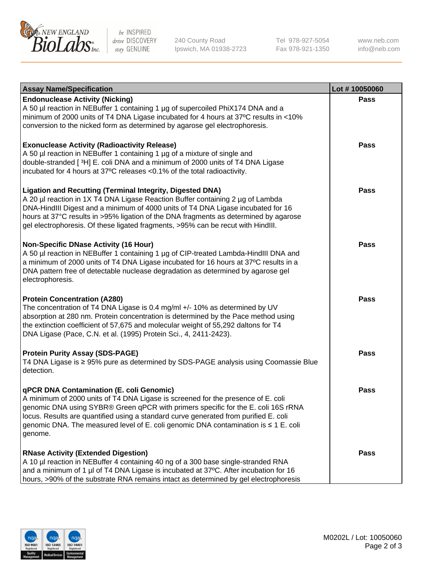

be INSPIRED drive DISCOVERY stay GENUINE

240 County Road Ipswich, MA 01938-2723 Tel 978-927-5054 Fax 978-921-1350

www.neb.com info@neb.com

| <b>Assay Name/Specification</b>                                                                                                                                                                                                                                                                                                                                                                                    | Lot #10050060 |
|--------------------------------------------------------------------------------------------------------------------------------------------------------------------------------------------------------------------------------------------------------------------------------------------------------------------------------------------------------------------------------------------------------------------|---------------|
| <b>Endonuclease Activity (Nicking)</b><br>A 50 µl reaction in NEBuffer 1 containing 1 µg of supercoiled PhiX174 DNA and a<br>minimum of 2000 units of T4 DNA Ligase incubated for 4 hours at 37°C results in <10%<br>conversion to the nicked form as determined by agarose gel electrophoresis.                                                                                                                   | <b>Pass</b>   |
| <b>Exonuclease Activity (Radioactivity Release)</b><br>A 50 µl reaction in NEBuffer 1 containing 1 µg of a mixture of single and<br>double-stranded [3H] E. coli DNA and a minimum of 2000 units of T4 DNA Ligase<br>incubated for 4 hours at 37°C releases <0.1% of the total radioactivity.                                                                                                                      | <b>Pass</b>   |
| <b>Ligation and Recutting (Terminal Integrity, Digested DNA)</b><br>A 20 µl reaction in 1X T4 DNA Ligase Reaction Buffer containing 2 µg of Lambda<br>DNA-HindIII Digest and a minimum of 4000 units of T4 DNA Ligase incubated for 16<br>hours at 37°C results in >95% ligation of the DNA fragments as determined by agarose<br>gel electrophoresis. Of these ligated fragments, >95% can be recut with HindIII. | <b>Pass</b>   |
| <b>Non-Specific DNase Activity (16 Hour)</b><br>A 50 µl reaction in NEBuffer 1 containing 1 µg of CIP-treated Lambda-HindIII DNA and<br>a minimum of 2000 units of T4 DNA Ligase incubated for 16 hours at 37°C results in a<br>DNA pattern free of detectable nuclease degradation as determined by agarose gel<br>electrophoresis.                                                                               | <b>Pass</b>   |
| <b>Protein Concentration (A280)</b><br>The concentration of T4 DNA Ligase is 0.4 mg/ml +/- 10% as determined by UV<br>absorption at 280 nm. Protein concentration is determined by the Pace method using<br>the extinction coefficient of 57,675 and molecular weight of 55,292 daltons for T4<br>DNA Ligase (Pace, C.N. et al. (1995) Protein Sci., 4, 2411-2423).                                                | <b>Pass</b>   |
| <b>Protein Purity Assay (SDS-PAGE)</b><br>T4 DNA Ligase is ≥ 95% pure as determined by SDS-PAGE analysis using Coomassie Blue<br>detection.                                                                                                                                                                                                                                                                        | Pass          |
| qPCR DNA Contamination (E. coli Genomic)<br>A minimum of 2000 units of T4 DNA Ligase is screened for the presence of E. coli<br>genomic DNA using SYBR® Green qPCR with primers specific for the E. coli 16S rRNA<br>locus. Results are quantified using a standard curve generated from purified E. coli<br>genomic DNA. The measured level of E. coli genomic DNA contamination is ≤ 1 E. coli<br>genome.        | Pass          |
| <b>RNase Activity (Extended Digestion)</b><br>A 10 µl reaction in NEBuffer 4 containing 40 ng of a 300 base single-stranded RNA<br>and a minimum of 1 µl of T4 DNA Ligase is incubated at 37°C. After incubation for 16<br>hours, >90% of the substrate RNA remains intact as determined by gel electrophoresis                                                                                                    | Pass          |